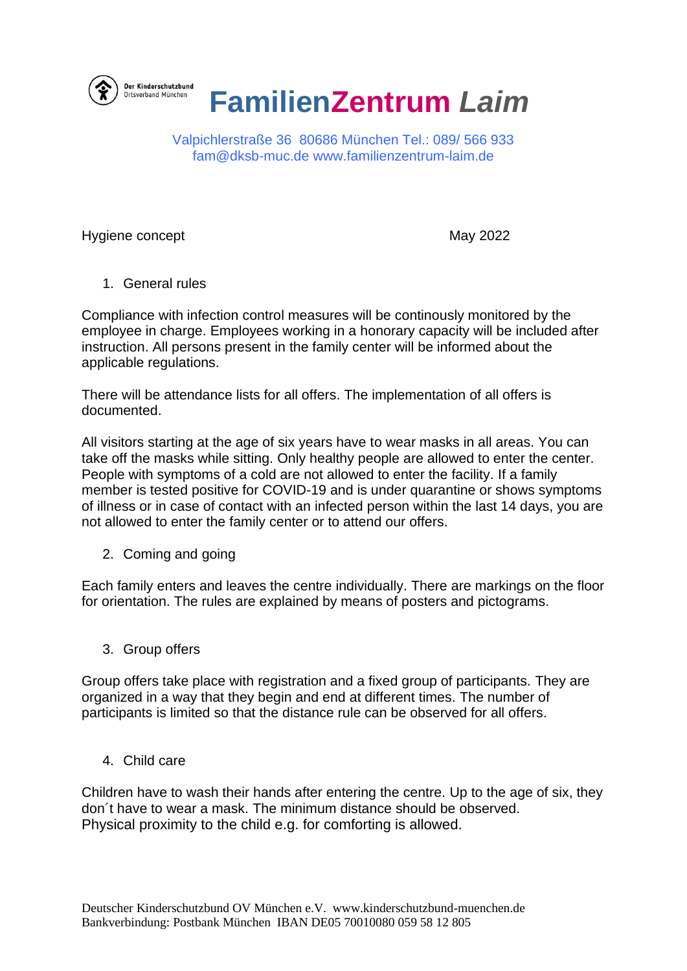

## **FamilienZentrum** *Laim*

Valpichlerstraße 36 80686 München Tel.: 089/ 566 933 [fam@dksb-muc.de](mailto:fam@dksb-muc.de) [www.familienzentrum-laim.de](http://www.familienzentrum-laim.de/)

Hygiene concept **May 2022** 

1. General rules

Compliance with infection control measures will be continously monitored by the employee in charge. Employees working in a honorary capacity will be included after instruction. All persons present in the family center will be informed about the applicable regulations.

There will be attendance lists for all offers. The implementation of all offers is documented.

All visitors starting at the age of six years have to wear masks in all areas. You can take off the masks while sitting. Only healthy people are allowed to enter the center. People with symptoms of a cold are not allowed to enter the facility. If a family member is tested positive for COVID-19 and is under quarantine or shows symptoms of illness or in case of contact with an infected person within the last 14 days, you are not allowed to enter the family center or to attend our offers.

2. Coming and going

Each family enters and leaves the centre individually. There are markings on the floor for orientation. The rules are explained by means of posters and pictograms.

3. Group offers

Group offers take place with registration and a fixed group of participants. They are organized in a way that they begin and end at different times. The number of participants is limited so that the distance rule can be observed for all offers.

4. Child care

Children have to wash their hands after entering the centre. Up to the age of six, they don´t have to wear a mask. The minimum distance should be observed. Physical proximity to the child e.g. for comforting is allowed.